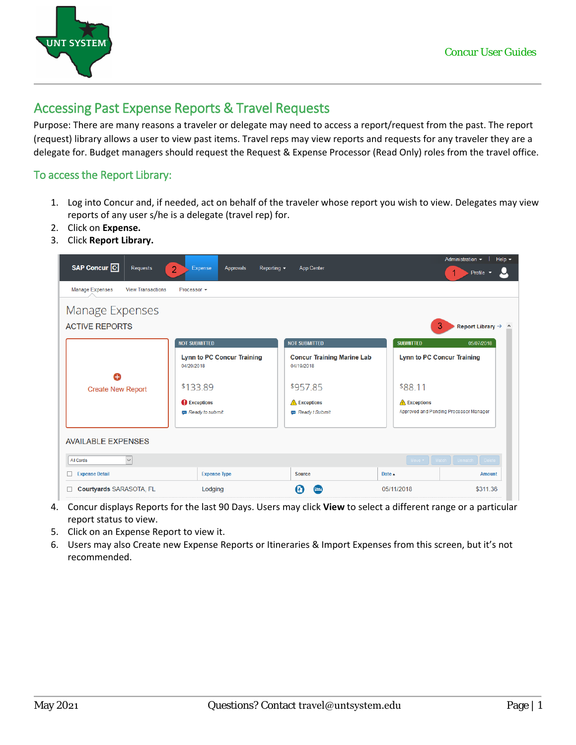



## Accessing Past Expense Reports & Travel Requests

Purpose: There are many reasons a traveler or delegate may need to access a report/request from the past. The report (request) library allows a user to view past items. Travel reps may view reports and requests for any traveler they are a delegate for. Budget managers should request the Request & Expense Processor (Read Only) roles from the travel office.

## To access the Report Library:

- 1. Log into Concur and, if needed, act on behalf of the traveler whose report you wish to view. Delegates may view reports of any user s/he is a delegate (travel rep) for.
- 2. Click on **Expense.**
- 3. Click **Report Library.**



- 4. Concur displays Reports for the last 90 Days. Users may click **View** to select a different range or a particular report status to view.
- 5. Click on an Expense Report to view it.
- 6. Users may also Create new Expense Reports or Itineraries & Import Expenses from this screen, but it's not recommended.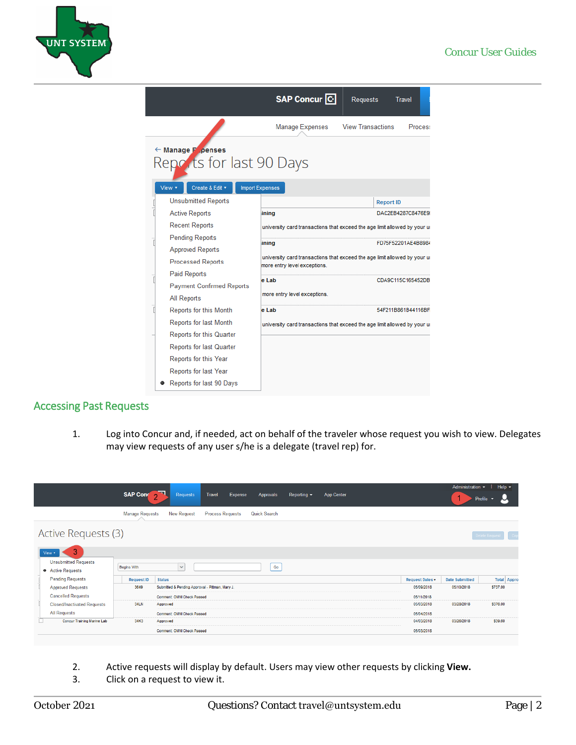

|                                                                                                       | SAP Concur <sup>C</sup>                                                   | Requests                                                                  | Travel              |  |  |  |  |  |  |  |  |  |
|-------------------------------------------------------------------------------------------------------|---------------------------------------------------------------------------|---------------------------------------------------------------------------|---------------------|--|--|--|--|--|--|--|--|--|
|                                                                                                       | <b>Manage Expenses</b>                                                    | <b>View Transactions</b>                                                  | <b>Process</b>      |  |  |  |  |  |  |  |  |  |
| ← Manage F .penses<br>Reports for last 90 Days<br>View v<br>Create & Edit v<br><b>Import Expenses</b> |                                                                           |                                                                           |                     |  |  |  |  |  |  |  |  |  |
| <b>Unsubmitted Reports</b>                                                                            |                                                                           |                                                                           | <b>Report ID</b>    |  |  |  |  |  |  |  |  |  |
| <b>Active Reports</b>                                                                                 | ining                                                                     |                                                                           | DAC2EB4287C8476E9I  |  |  |  |  |  |  |  |  |  |
| <b>Recent Reports</b>                                                                                 | university card transactions that exceed the age limit allowed by your ur |                                                                           |                     |  |  |  |  |  |  |  |  |  |
| <b>Pending Reports</b>                                                                                | ining                                                                     |                                                                           | FD75F52201AE4B8984  |  |  |  |  |  |  |  |  |  |
| <b>Approved Reports</b>                                                                               | university card transactions that exceed the age limit allowed by your ur |                                                                           |                     |  |  |  |  |  |  |  |  |  |
| <b>Processed Reports</b>                                                                              | more entry level exceptions.                                              |                                                                           |                     |  |  |  |  |  |  |  |  |  |
| Paid Reports                                                                                          | e Lab                                                                     |                                                                           | CDA9C115C165452DB   |  |  |  |  |  |  |  |  |  |
| <b>Payment Confirmed Reports</b>                                                                      | more entry level exceptions.                                              |                                                                           |                     |  |  |  |  |  |  |  |  |  |
| All Reports                                                                                           |                                                                           |                                                                           |                     |  |  |  |  |  |  |  |  |  |
| Reports for this Month                                                                                | e Lab                                                                     |                                                                           | 54F211B861B44116BFI |  |  |  |  |  |  |  |  |  |
| <b>Reports for last Month</b>                                                                         |                                                                           | university card transactions that exceed the age limit allowed by your ur |                     |  |  |  |  |  |  |  |  |  |
| Reports for this Quarter                                                                              |                                                                           |                                                                           |                     |  |  |  |  |  |  |  |  |  |
| <b>Reports for last Quarter</b>                                                                       |                                                                           |                                                                           |                     |  |  |  |  |  |  |  |  |  |
| Reports for this Year                                                                                 |                                                                           |                                                                           |                     |  |  |  |  |  |  |  |  |  |
| Reports for last Year                                                                                 |                                                                           |                                                                           |                     |  |  |  |  |  |  |  |  |  |
| Reports for last 90 Days                                                                              |                                                                           |                                                                           |                     |  |  |  |  |  |  |  |  |  |

## Accessing Past Requests

1. Log into Concur and, if needed, act on behalf of the traveler whose request you wish to view. Delegates may view requests of any user s/he is a delegate (travel rep) for.

|                                                     | SAP Conc 2                                              | Requests                          | <b>Travel</b>           | <b>Expense</b><br>Approvals | Reporting $\sim$ | <b>App Center</b> |            | Administration $\sim$ | Help $\mathbf{v}$<br>Profile $\blacktriangledown$ |  |  |  |  |
|-----------------------------------------------------|---------------------------------------------------------|-----------------------------------|-------------------------|-----------------------------|------------------|-------------------|------------|-----------------------|---------------------------------------------------|--|--|--|--|
|                                                     | <b>Manage Requests</b>                                  | <b>New Request</b>                | <b>Process Requests</b> | Quick Search                |                  |                   |            |                       |                                                   |  |  |  |  |
| Active Requests (3)<br>Delete Reques<br>3<br>View * |                                                         |                                   |                         |                             |                  |                   |            |                       |                                                   |  |  |  |  |
| <b>Unsubmitted Requests</b><br>• Active Requests    | <b>Begins With</b>                                      | $\checkmark$                      |                         |                             | Go               |                   |            |                       |                                                   |  |  |  |  |
| <b>Pending Requests</b>                             | <b>Request ID</b>                                       | <b>Status</b>                     |                         |                             |                  |                   |            |                       | <b>Total</b> Appro                                |  |  |  |  |
| <b>Approved Requests</b>                            | 3649<br>Submitted & Pending Approval - Pittman, Mary J. |                                   |                         |                             |                  | 05/09/2018        | 05/10/2018 | \$737.00              |                                                   |  |  |  |  |
| <b>Cancelled Requests</b>                           |                                                         | <b>Comment: OMNI Check Passed</b> |                         |                             |                  |                   | 05/11/2018 |                       |                                                   |  |  |  |  |
| <b>Closed/Inactivated Requests</b>                  | 34LN                                                    | Approved                          |                         |                             |                  |                   | 05/03/2018 | 03/28/2018            | \$376.00                                          |  |  |  |  |
| All Requests                                        |                                                         | <b>Comment: OMNI Check Passed</b> |                         |                             |                  |                   | 05/04/2018 |                       |                                                   |  |  |  |  |
| <b>Concur Training Marine Lab</b>                   | 34K3                                                    | Approved                          |                         |                             |                  |                   | 04/03/2018 | 03/26/2018            | \$39.60                                           |  |  |  |  |
|                                                     |                                                         | <b>Comment: OMNI Check Passed</b> |                         |                             |                  |                   | 05/03/2018 |                       |                                                   |  |  |  |  |

- 2. Active requests will display by default. Users may view other requests by clicking **View.**
- 3. Click on a request to view it.